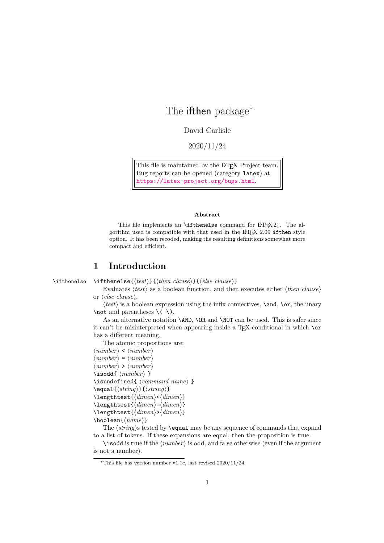# The ifthen package<sup>∗</sup>

David Carlisle

2020/11/24

This file is maintained by the L<sup>AT</sup>F<sub>X</sub> Project team. Bug reports can be opened (category latex) at <https://latex-project.org/bugs.html>.

#### Abstract

This file implements an **\ifthenelse** command for  $\text{LATEX } 2\varepsilon$ . The algorithm used is compatible with that used in the  $I4T_FX$  2.09 if then style option. It has been recoded, making the resulting definitions somewhat more compact and efficient.

### 1 Introduction

\ifthenelse \ifthenelse{⟨test⟩}{⟨then clause⟩}{⟨else clause⟩}

Evaluates  $\langle test \rangle$  as a boolean function, and then executes either  $\langle then \; clause \rangle$ or ⟨else clause⟩.

 $\langle test \rangle$  is a boolean expression using the infix connectives, **\and, \or,** the unary \not and parentheses  $\(\ \)$ .

As an alternative notation \AND, \OR and \NOT can be used. This is safer since it can't be misinterpreted when appearing inside a TEX-conditional in which \or has a different meaning.

The atomic propositions are:

```
\langle number \rangle < \langle number \rangle\langle number \rangle = \langle number \rangle\langle number \rangle > \langle number \rangle\iota \isodd{ \langle number \rangle }
\isundefined{ ⟨command name⟩ }
\equal{⟨string⟩}{⟨string⟩}
\lengthtest{⟨dimen⟩<⟨dimen⟩}
\lengthtest{⟨dimen⟩=⟨dimen⟩}
```

```
\lengthtest{⟨dimen⟩>⟨dimen⟩}
```
\boolean{⟨name⟩}

The  $\langle string \rangle$ s tested by **\equal** may be any sequence of commands that expand to a list of tokens. If these expansions are equal, then the proposition is true.

\isodd is true if the  $\langle number \rangle$  is odd, and false otherwise (even if the argument is not a number).

<sup>∗</sup>This file has version number v1.1c, last revised 2020/11/24.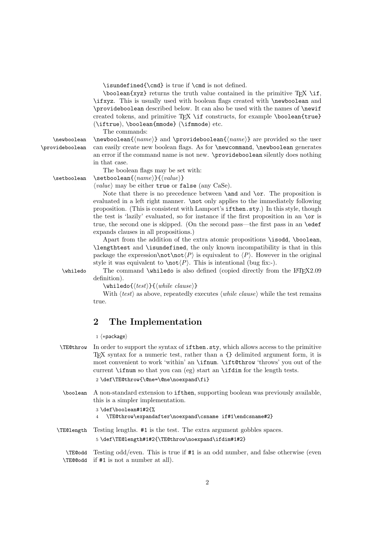\isundefined{\cmd} is true if \cmd is not defined.

 $\boldsymbol{\psi}$  \boolean{xyz} returns the truth value contained in the primitive T<sub>EX</sub> \if, \ifxyz. This is usually used with boolean flags created with \newboolean and \provideboolean described below. It can also be used with the names of \newif created tokens, and primitive TFX \if constructs, for example \boolean{true} (\iftrue), \boolean{mmode} (\ifmmode) etc.

The commands:

 $\newboolean \newblock \newblock \newcommand{\nnm}{\n (name)} \n and \propto \newcommand{\nnm}{\n (name)} \n are provided so the user$ \provideboolean can easily create new boolean flags. As for \newcommand, \newboolean generates an error if the command name is not new. \provideboolean silently does nothing in that case.

The boolean flags may be set with: \setboolean \setboolean{⟨name⟩}{⟨value⟩}

 $\langle value \rangle$  may be either true or false (any CaSe).

Note that there is no precedence between  $\land$  and  $\lor$  The proposition is evaluated in a left right manner. \not only applies to the immediately following proposition. (This is consistent with Lamport's ifthen.sty.) In this style, though the test is 'lazily' evaluated, so for instance if the first proposition in an \or is true, the second one is skipped. (On the second pass—the first pass in an \edef expands clauses in all propositions.)

Apart from the addition of the extra atomic propositions \isodd, \boolean, \lengthtest and \isundefined, the only known incompatibility is that in this package the expression\not\not $\langle P \rangle$  is equivalent to  $\langle P \rangle$ . However in the original style it was equivalent to  $\not\subset \langle P \rangle$ . This is intentional (bug fix:-).

\whiledo The command \whiledo is also defined (copied directly from the LATEX2.09 definition).

\whiledo{⟨test⟩}{⟨while clause⟩}

With  $\langle test \rangle$  as above, repeatedly executes  $\langle while \; clause \rangle$  while the test remains true.

## 2 The Implementation

1 ⟨∗package⟩

- \TE@throw In order to support the syntax of ifthen.sty, which allows access to the primitive TEX syntax for a numeric test, rather than a {} delimited argument form, it is most convenient to work 'within' an \ifnum. \ift@throw 'throws' you out of the current \ifnum so that you can (eg) start an \ifdim for the length tests. 2 \def\TE@throw{\@ne=\@ne\noexpand\fi}
- \boolean A non-standard extension to ifthen, supporting boolean was previously available, this is a simpler implementation.

#### 3 \def\boolean#1#2{% 4 \TE@throw\expandafter\noexpand\csname if#1\endcsname#2}

\TE@length Testing lengths. #1 is the test. The extra argument gobbles spaces. 5 \def\TE@length#1#2{\TE@throw\noexpand\ifdim#1#2}

\TE@odd \TE@@odd if #1 is not a number at all). Testing odd/even. This is true if #1 is an odd number, and false otherwise (even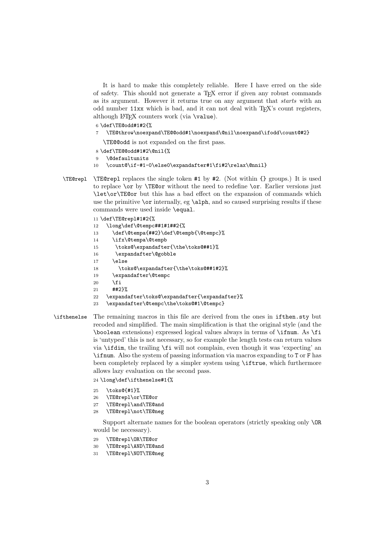It is hard to make this completely reliable. Here I have erred on the side of safety. This should not generate a T<sub>E</sub>X error if given any robust commands as its argument. However it returns true on any argument that starts with an odd number 11xx which is bad, and it can not deal with TFX's count registers, although L<sup>AT</sup>FX counters work (via \value).

```
6 \def\TE@odd#1#2{%
```
7 \TE@throw\noexpand\TE@@odd#1\noexpand\@nil\noexpand\ifodd\count@#2}

\TE@@odd is not expanded on the first pass.

```
8 \def\TE@@odd#1#2\@nil{%
```
9 \@defaultunits

```
10 \count@\if-#1-0\else0\expandafter#1\fi#2\relax\@nnil}
```
\TE@repl \TE@repl replaces the single token #1 by #2. (Not within {} groups.) It is used to replace \or by \TE@or without the need to redefine \or. Earlier versions just \let\or\TE@or but this has a bad effect on the expansion of commands which use the primitive \or internally, eg \alph, and so caused surprising results if these commands were used inside \equal.

#### 11 \def\TE@repl#1#2{%

| 12 | \long\def\@tempc##1#1##2{%                    |
|----|-----------------------------------------------|
| 13 | \def\@tempa{##2}\def\@tempb{\@tempc}%         |
| 14 | \ifx\@tempa\@tempb                            |
| 15 | \toks@\expandafter{\the\toks@##1}%            |
| 16 | \expandafter\@gobble                          |
| 17 | \else                                         |
| 18 | \toks@\expandafter{\the\toks@##1#2}%          |
| 19 | \expandafter\@tempc                           |
| 20 | \fi                                           |
| 21 | ##2}%                                         |
| 22 | \expandafter\toks@\expandafter{\expandafter}% |
| 23 | \expandafter\@tempc\the\toks@#1\@tempc}       |
|    |                                               |

#### \ifthenelse The remaining macros in this file are derived from the ones in ifthen.sty but recoded and simplified. The main simplification is that the original style (and the \boolean extensions) expressed logical values always in terms of \ifnum. As \fi is 'untyped' this is not necessary, so for example the length tests can return values via \ifdim, the trailing \fi will not complain, even though it was 'expecting' an \ifnum. Also the system of passing information via macros expanding to T or F has been completely replaced by a simpler system using \iftrue, which furthermore allows lazy evaluation on the second pass.

24 \long\def\ifthenelse#1{%

- 25 \toks@{#1}%
- 26 \TE@repl\or\TE@or
- 27 \TE@repl\and\TE@and
- 28 \TE@repl\not\TE@neg

Support alternate names for the boolean operators (strictly speaking only \OR would be necessary).

- 29 \TE@repl\OR\TE@or
- 30 \TE@repl\AND\TE@and
- 31 \TE@repl\NOT\TE@neg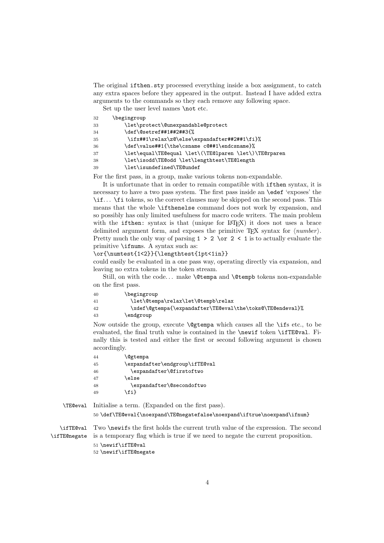The original ifthen.sty processed everything inside a box assignment, to catch any extra spaces before they appeared in the output. Instead I have added extra arguments to the commands so they each remove any following space.

Set up the user level names **\not** etc.

| 32 | \begingroup                                           |
|----|-------------------------------------------------------|
| 33 | \let\protect\@unexpandable@protect                    |
| 34 | \def\@setref##1##2##3{%                               |
| 35 | \ifx##1\relax\z@\else\expandafter##2##1\fi}%          |
| 36 | \def\value##1{\the\csname c@##1\endcsname}%           |
| 37 | \let\equal\TE@equal \let\(\TE@lparen \let\)\TE@rparen |
| 38 | \let\isodd\TE@odd \let\lengthtest\TE@length           |
| 39 | \let\isundefined\TE@undef                             |

For the first pass, in a group, make various tokens non-expandable.

It is unfortunate that in order to remain compatible with ifthen syntax, it is necessary to have a two pass system. The first pass inside an \edef 'exposes' the \if. . . \fi tokens, so the correct clauses may be skipped on the second pass. This means that the whole \ifthenelse command does not work by expansion, and so possibly has only limited usefulness for macro code writers. The main problem with the if then: syntax is that (unique for LAT<sub>EX</sub>) it does not uses a brace delimited argument form, and exposes the primitive  $T_F X$  syntax for  $\langle number \rangle$ . Pretty much the only way of parsing  $1 > 2 \text{ or } 2 < 1$  is to actually evaluate the primitive \ifnums. A syntax such as:

#### \or{\numtest{1<2}}{\lengthtest{1pt<1in}}

could easily be evaluated in a one pass way, operating directly via expansion, and leaving no extra tokens in the token stream.

Still, on with the code... make **\@tempa** and **\@tempb** tokens non-expandable on the first pass.

| 40 | \begingroup                                               |
|----|-----------------------------------------------------------|
| 41 | \let\@tempa\relax\let\@tempb\relax                        |
| 42 | \xdef\@gtempa{\expandafter\TE@eval\the\toks@\TE@endeval}% |
| 43 | \endgroup                                                 |

Now outside the group, execute  $\text{Qgtemp}$  which causes all the  $\text{if } s \text{ etc.}$ , to be evaluated, the final truth value is contained in the \newif token \ifTE@val. Finally this is tested and either the first or second following argument is chosen accordingly.

| \expandafter\endgroup\ifTE@val |
|--------------------------------|
| \expandafter\@firstoftwo       |
|                                |
| \expandafter\@secondoftwo      |
|                                |
|                                |

\TE@eval Initialise a term. (Expanded on the first pass). 50 \def\TE@eval{\noexpand\TE@negatefalse\noexpand\iftrue\noexpand\ifnum}

\ifTE@val Two \newifs the first holds the current truth value of the expression. The second \ifTE@negate is a temporary flag which is true if we need to negate the current proposition.

51 \newif\ifTE@val

52 \newif\ifTE@negate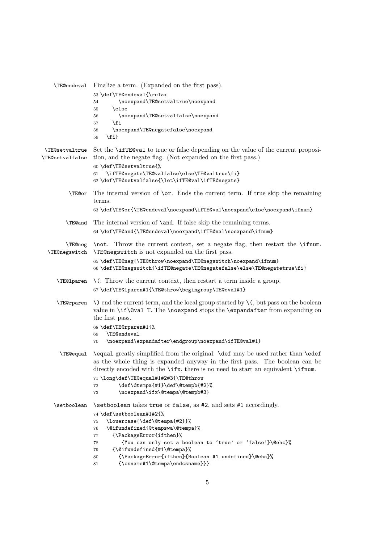|                                          | <b>\TEQuendeval</b> Finalize a term. (Expanded on the first pass).                                                                                                                                                                                          |
|------------------------------------------|-------------------------------------------------------------------------------------------------------------------------------------------------------------------------------------------------------------------------------------------------------------|
|                                          | 53\def\TE@endeval{\relax<br>\noexpand\TE@setvaltrue\noexpand<br>54<br>\else                                                                                                                                                                                 |
|                                          | 55<br>\noexpand\TE@setvalfalse\noexpand<br>56                                                                                                                                                                                                               |
|                                          | \fi<br>57<br>\noexpand\TE@negatefalse\noexpand                                                                                                                                                                                                              |
|                                          | 58<br>$\{fi\}$<br>59                                                                                                                                                                                                                                        |
| <b>\TE@setvaltrue</b><br>\TE@setvalfalse | Set the <b>\iffe</b> reveal to true or false depending on the value of the current proposi-<br>tion, and the negate flag. (Not expanded on the first pass.)                                                                                                 |
|                                          | 60 \def\TE@setvaltrue{%<br>\ifTE@negate\TE@valfalse\else\TE@valtrue\fi}<br>61<br>62 \def\TE@setvalfalse{\let\ifTE@val\ifTE@negate}                                                                                                                          |
| \TE@or                                   | The internal version of $\or$ . Ends the current term. If true skip the remaining<br>terms.                                                                                                                                                                 |
|                                          | 63 \def\TE@or{\TE@endeval\noexpand\ifTE@val\noexpand\else\noexpand\ifnum}                                                                                                                                                                                   |
| <b>\TE@and</b>                           | The internal version of <b>\and</b> . If false skip the remaining terms.                                                                                                                                                                                    |
|                                          | 64 \def\TE@and{\TE@endeval\noexpand\ifTE@val\noexpand\ifnum}                                                                                                                                                                                                |
| <b>\TE@neg</b><br><b>\TE@negswitch</b>   | \not. Throw the current context, set a negate flag, then restart the \ifnum.<br><b>TECnegswitch</b> is not expanded on the first pass.                                                                                                                      |
|                                          | 65 \def\TE@neg{\TE@throw\noexpand\TE@negswitch\noexpand\ifnum}<br>66 \def\TE@negswitch{\ifTE@negate\TE@negatefalse\else\TE@negatetrue\fi}                                                                                                                   |
| <b>\TE@lparen</b>                        | $\setminus$ . Throw the current context, then restart a term inside a group.                                                                                                                                                                                |
|                                          | 67\def\TE@lparen#1{\TE@throw\begingroup\TE@eval#1}                                                                                                                                                                                                          |
|                                          | $\text{TE@rparent}$ $\setminus$ end the current term, and the local group started by $\setminus$ but pass on the boolean<br>value in $\if\$ 0val T. The \noexpand stops the \expandafter from expanding on<br>the first pass.                               |
|                                          | 68 \def\TE@rparen#1{%                                                                                                                                                                                                                                       |
|                                          | \TE@endeval<br>69<br>\noexpand\expandafter\endgroup\noexpand\ifTE@val#1}<br>70                                                                                                                                                                              |
|                                          | \TE@equal \equal greatly simplified from the original. \def may be used rather than \edef<br>as the whole thing is expanded anyway in the first pass. The boolean can be<br>directly encoded with the \ifx, there is no need to start an equivalent \ifnum. |
|                                          | 71 \long\def\TE@equal#1#2#3{\TE@throw                                                                                                                                                                                                                       |
|                                          | \def\@tempa{#1}\def\@tempb{#2}%<br>72<br>\noexpand\ifx\@tempa\@tempb#3}<br>73                                                                                                                                                                               |
| \setboolean                              | \setboolean takes true or false, as #2, and sets #1 accordingly.                                                                                                                                                                                            |
|                                          | 74 \def\setboolean#1#2{%                                                                                                                                                                                                                                    |
|                                          | \lowercase{\def\@tempa{#2}}%<br>75                                                                                                                                                                                                                          |
|                                          | \@ifundefined{@tempswa\@tempa}%<br>76                                                                                                                                                                                                                       |
|                                          | {\PackageError{ifthen}%<br>77<br>{You can only set a boolean to 'true' or 'false'}\@ehc}%<br>78                                                                                                                                                             |
|                                          | {\@ifundefined{#1\@tempa}%<br>79                                                                                                                                                                                                                            |
|                                          | {\PackageError{ifthen}{Boolean #1 undefined}\@ehc}%<br>80                                                                                                                                                                                                   |
|                                          | $\{\csc \#1\text{Ctempa}\endcsname\}\}$<br>81                                                                                                                                                                                                               |